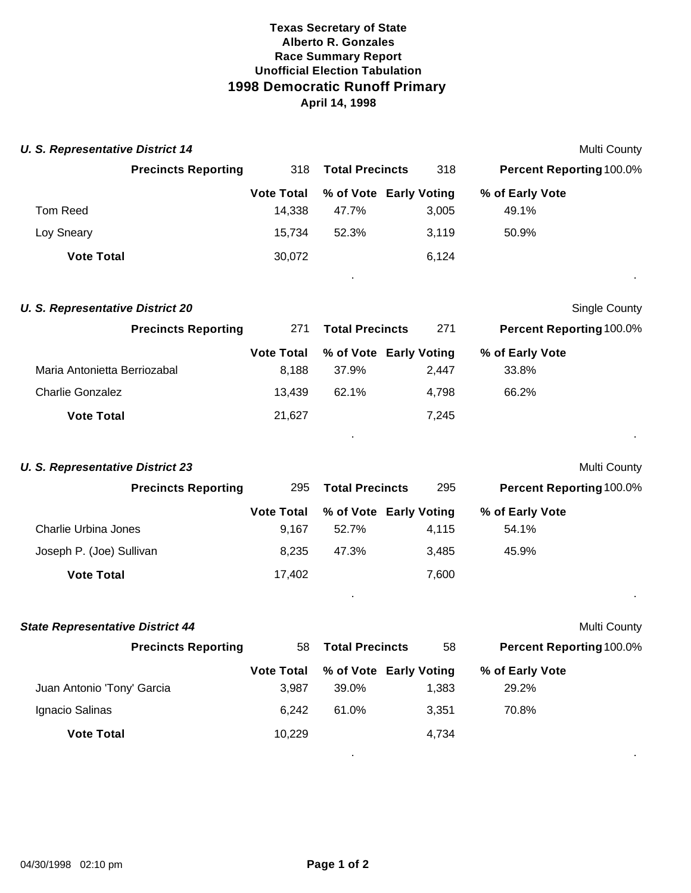## **Texas Secretary of State Alberto R. Gonzales Race Summary Report Unofficial Election Tabulation 1998 Democratic Runoff Primary April 14, 1998**

|                            |                                                              |       |       |                                                  | <b>Multi County</b> |
|----------------------------|--------------------------------------------------------------|-------|-------|--------------------------------------------------|---------------------|
| <b>Precincts Reporting</b> | 318                                                          |       | 318   | <b>Percent Reporting 100.0%</b>                  |                     |
|                            | <b>Vote Total</b>                                            |       |       | % of Early Vote                                  |                     |
|                            | 14.338                                                       | 47.7% | 3.005 | 49.1%                                            |                     |
|                            | 15.734                                                       | 52.3% | 3.119 | 50.9%                                            |                     |
|                            | 30,072                                                       |       | 6.124 |                                                  |                     |
|                            | <b>U. S. Representative District 14</b><br><b>Vote Total</b> |       |       | <b>Total Precincts</b><br>% of Vote Early Voting |                     |

. .

**Single County** 

. .

|  | <b>U. S. Representative District 20</b> |  |
|--|-----------------------------------------|--|
|  |                                         |  |

| <b>Precincts Reporting</b>   | 271               | <b>Total Precincts</b> | 271                    | <b>Percent Reporting 100.0%</b> |  |
|------------------------------|-------------------|------------------------|------------------------|---------------------------------|--|
|                              | <b>Vote Total</b> |                        | % of Vote Early Voting | % of Early Vote                 |  |
| Maria Antonietta Berriozabal | 8.188             | 37.9%                  | 2.447                  | 33.8%                           |  |
| <b>Charlie Gonzalez</b>      | 13.439            | 62.1%                  | 4.798                  | 66.2%                           |  |
| <b>Vote Total</b>            | 21,627            |                        | 7,245                  |                                 |  |

| <b>Precincts Reporting</b> | 295               | <b>Total Precincts</b> | 295   | <b>Percent Reporting 100.0%</b> |
|----------------------------|-------------------|------------------------|-------|---------------------------------|
|                            | <b>Vote Total</b> | % of Vote Early Voting |       | % of Early Vote                 |
| Charlie Urbina Jones       | 9.167             | 52.7%                  | 4,115 | 54.1%                           |
| Joseph P. (Joe) Sullivan   | 8,235             | 47.3%                  | 3.485 | 45.9%                           |
| <b>Vote Total</b>          | 17,402            |                        | 7,600 |                                 |

| <b>State Representative District 44</b> |                   |                        |                        |                                 | <b>Multi County</b> |
|-----------------------------------------|-------------------|------------------------|------------------------|---------------------------------|---------------------|
| <b>Precincts Reporting</b>              | 58                | <b>Total Precincts</b> | 58                     | <b>Percent Reporting 100.0%</b> |                     |
|                                         | <b>Vote Total</b> |                        | % of Vote Early Voting | % of Early Vote                 |                     |
| Juan Antonio 'Tony' Garcia              | 3.987             | 39.0%                  | 1,383                  | 29.2%                           |                     |
| Ignacio Salinas                         | 6.242             | 61.0%                  | 3.351                  | 70.8%                           |                     |
| <b>Vote Total</b>                       | 10,229            |                        | 4.734                  |                                 |                     |
|                                         |                   |                        |                        |                                 |                     |